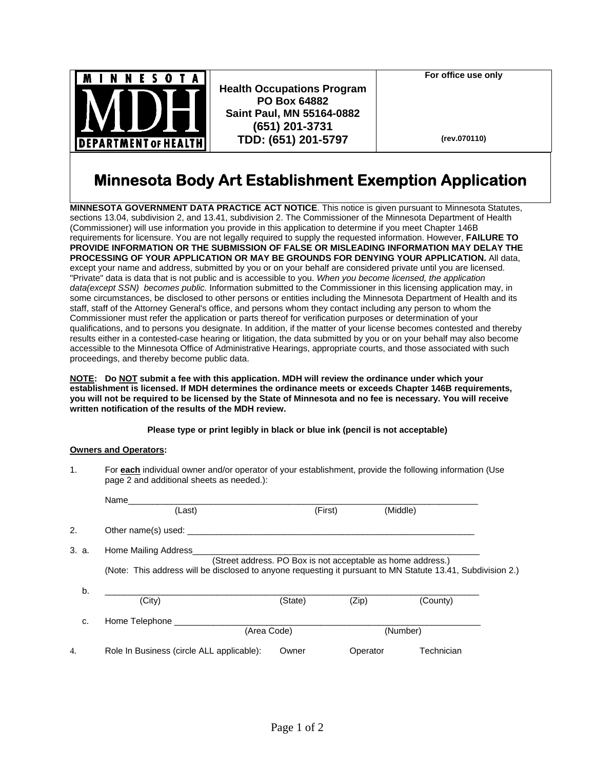

**Health Occupations Program PO Box 64882 Saint Paul, MN 55164-0882 (651) 201-3731 TDD: (651) 201-5797**

**For office use only** 

**(rev.070110)**

## **Minnesota Body Art Establishment Exemption Application**

**MINNESOTA GOVERNMENT DATA PRACTICE ACT NOTICE**. This notice is given pursuant to Minnesota Statutes, sections 13.04, subdivision 2, and 13.41, subdivision 2. The Commissioner of the Minnesota Department of Health (Commissioner) will use information you provide in this application to determine if you meet Chapter 146B requirements for licensure. You are not legally required to supply the requested information. However, **FAILURE TO PROVIDE INFORMATION OR THE SUBMISSION OF FALSE OR MISLEADING INFORMATION MAY DELAY THE PROCESSING OF YOUR APPLICATION OR MAY BE GROUNDS FOR DENYING YOUR APPLICATION.** All data, except your name and address, submitted by you or on your behalf are considered private until you are licensed. "Private" data is data that is not public and is accessible to you. *When you become licensed, the application data(except SSN) becomes public.* Information submitted to the Commissioner in this licensing application may, in some circumstances, be disclosed to other persons or entities including the Minnesota Department of Health and its staff, staff of the Attorney General's office, and persons whom they contact including any person to whom the Commissioner must refer the application or parts thereof for verification purposes or determination of your qualifications, and to persons you designate. In addition, if the matter of your license becomes contested and thereby results either in a contested-case hearing or litigation, the data submitted by you or on your behalf may also become accessible to the Minnesota Office of Administrative Hearings, appropriate courts, and those associated with such proceedings, and thereby become public data.

**NOTE: Do NOT submit a fee with this application. MDH will review the ordinance under which your establishment is licensed. If MDH determines the ordinance meets or exceeds Chapter 146B requirements, you will not be required to be licensed by the State of Minnesota and no fee is necessary. You will receive written notification of the results of the MDH review.** 

## **Please type or print legibly in black or blue ink (pencil is not acceptable)**

## **Owners and Operators:**

1. For **each** individual owner and/or operator of your establishment, provide the following information (Use page 2 and additional sheets as needed.):

|       | Name                                                                                                        |             |          |            |  |  |
|-------|-------------------------------------------------------------------------------------------------------------|-------------|----------|------------|--|--|
|       | (Last)                                                                                                      | (First)     |          | (Middle)   |  |  |
| 2.    | Other name(s) used:                                                                                         |             |          |            |  |  |
| 3. a. | Home Mailing Address                                                                                        |             |          |            |  |  |
|       | (Street address. PO Box is not acceptable as home address.)                                                 |             |          |            |  |  |
|       | (Note: This address will be disclosed to anyone requesting it pursuant to MN Statute 13.41, Subdivision 2.) |             |          |            |  |  |
|       |                                                                                                             |             |          |            |  |  |
| b.    |                                                                                                             |             |          |            |  |  |
|       | (City)                                                                                                      | (State)     | (Zip)    | (County)   |  |  |
| c.    | Home Telephone                                                                                              |             |          |            |  |  |
|       |                                                                                                             | (Area Code) |          | (Number)   |  |  |
| 4.    | Role In Business (circle ALL applicable):                                                                   | Owner       | Operator | Technician |  |  |